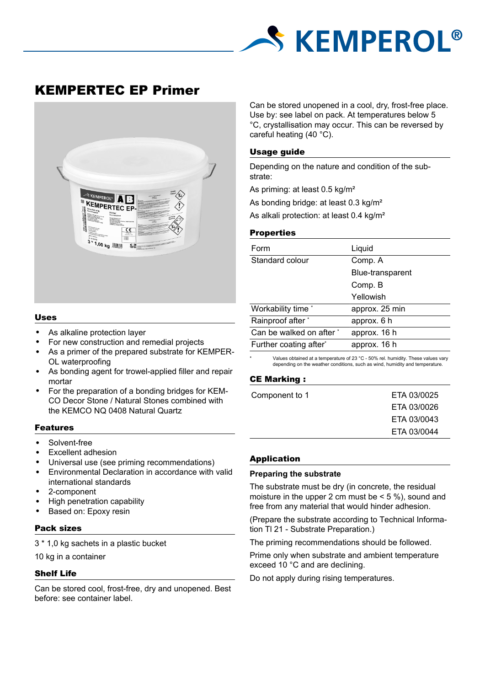

# KEMPERTEC EP Primer



#### Uses

- As alkaline protection layer
- For new construction and remedial projects
- As a primer of the prepared substrate for KEMPER-OL waterproofing
- As bonding agent for trowel-applied filler and repair mortar
- For the preparation of a bonding bridges for KEM-CO Decor Stone / Natural Stones combined with the KEMCO NQ 0408 Natural Quartz

#### Features

- Solvent-free
- Excellent adhesion
- Universal use (see priming recommendations)
- Environmental Declaration in accordance with valid international standards
- 2-component
- High penetration capability
- Based on: Epoxy resin

#### Pack sizes

3 \* 1,0 kg sachets in a plastic bucket

10 kg in a container

#### Shelf Life

Can be stored cool, frost-free, dry and unopened. Best before: see container label.

Can be stored unopened in a cool, dry, frost-free place. Use by: see label on pack. At temperatures below 5 °C, crystallisation may occur. This can be reversed by careful heating (40 °C).

#### Usage guide

Depending on the nature and condition of the substrate:

As priming: at least 0.5 kg/m²

As bonding bridge: at least 0.3 kg/m<sup>2</sup>

As alkali protection: at least 0.4 kg/m²

#### **Properties**

| Liquid           |
|------------------|
| Comp. A          |
| Blue-transparent |
| Comp. B          |
| Yellowish        |
| approx. 25 min   |
| approx. 6 h      |
| approx. 16 h     |
| approx. 16 h     |
|                  |

\* Values obtained at a temperature of 23 °C - 50% rel. humidity. These values vary depending on the weather conditions, such as wind, humidity and temperature.

## CE Marking :

| Component to 1 | ETA 03/0025 |
|----------------|-------------|
|                | ETA 03/0026 |
|                | ETA 03/0043 |
|                | ETA 03/0044 |

#### Application

### **Preparing the substrate**

The substrate must be dry (in concrete, the residual moisture in the upper 2 cm must be  $\leq$  5 %), sound and free from any material that would hinder adhesion.

(Prepare the substrate according to Technical Information Tl 21 - Substrate Preparation.)

The priming recommendations should be followed.

Prime only when substrate and ambient temperature exceed 10 °C and are declining.

Do not apply during rising temperatures.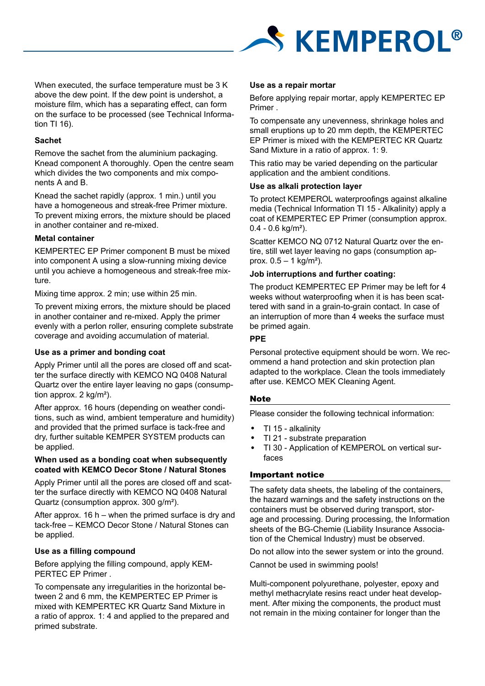

When executed, the surface temperature must be 3 K above the dew point. If the dew point is undershot, a moisture film, which has a separating effect, can form on the surface to be processed (see Technical Information TI 16).

# **Sachet**

Remove the sachet from the aluminium packaging. Knead component A thoroughly. Open the centre seam which divides the two components and mix components A and B.

Knead the sachet rapidly (approx. 1 min.) until you have a homogeneous and streak-free Primer mixture. To prevent mixing errors, the mixture should be placed in another container and re-mixed.

# **Metal container**

KEMPERTEC EP Primer component B must be mixed into component A using a slow-running mixing device until you achieve a homogeneous and streak-free mixture.

Mixing time approx. 2 min; use within 25 min.

To prevent mixing errors, the mixture should be placed in another container and re-mixed. Apply the primer evenly with a perlon roller, ensuring complete substrate coverage and avoiding accumulation of material.

# **Use as a primer and bonding coat**

Apply Primer until all the pores are closed off and scatter the surface directly with KEMCO NQ 0408 Natural Quartz over the entire layer leaving no gaps (consumption approx. 2 kg/m²).

After approx. 16 hours (depending on weather conditions, such as wind, ambient temperature and humidity) and provided that the primed surface is tack-free and dry, further suitable KEMPER SYSTEM products can be applied.

## **When used as a bonding coat when subsequently coated with KEMCO Decor Stone / Natural Stones**

Apply Primer until all the pores are closed off and scatter the surface directly with KEMCO NQ 0408 Natural Quartz (consumption approx. 300 g/m²).

After approx. 16 h – when the primed surface is dry and tack-free – KEMCO Decor Stone / Natural Stones can be applied.

# **Use as a filling compound**

Before applying the filling compound, apply KEM-PERTEC EP Primer .

To compensate any irregularities in the horizontal between 2 and 6 mm, the KEMPERTEC EP Primer is mixed with KEMPERTEC KR Quartz Sand Mixture in a ratio of approx. 1: 4 and applied to the prepared and primed substrate.

## **Use as a repair mortar**

Before applying repair mortar, apply KEMPERTEC EP Primer .

To compensate any unevenness, shrinkage holes and small eruptions up to 20 mm depth, the KEMPERTEC EP Primer is mixed with the KEMPERTEC KR Quartz Sand Mixture in a ratio of approx. 1: 9.

This ratio may be varied depending on the particular application and the ambient conditions.

## **Use as alkali protection layer**

To protect KEMPEROL waterproofings against alkaline media (Technical Information TI 15 - Alkalinity) apply a coat of KEMPERTEC EP Primer (consumption approx. 0.4 - 0.6 kg/m²).

Scatter KEMCO NQ 0712 Natural Quartz over the entire, still wet layer leaving no gaps (consumption approx.  $0.5 - 1$  kg/m<sup>2</sup>).

# **Job interruptions and further coating:**

The product KEMPERTEC EP Primer may be left for 4 weeks without waterproofing when it is has been scattered with sand in a grain-to-grain contact. In case of an interruption of more than 4 weeks the surface must be primed again.

# **PPE**

Personal protective equipment should be worn. We recommend a hand protection and skin protection plan adapted to the workplace. Clean the tools immediately after use. KEMCO MEK Cleaning Agent.

# **Note**

Please consider the following technical information:

- TI 15 alkalinity
- TI 21 substrate preparation
- TI 30 Application of KEMPEROL on vertical surfaces

#### Important notice

The safety data sheets, the labeling of the containers, the hazard warnings and the safety instructions on the containers must be observed during transport, storage and processing. During processing, the Information sheets of the BG-Chemie (Liability Insurance Association of the Chemical Industry) must be observed.

Do not allow into the sewer system or into the ground.

Cannot be used in swimming pools!

Multi-component polyurethane, polyester, epoxy and methyl methacrylate resins react under heat development. After mixing the components, the product must not remain in the mixing container for longer than the